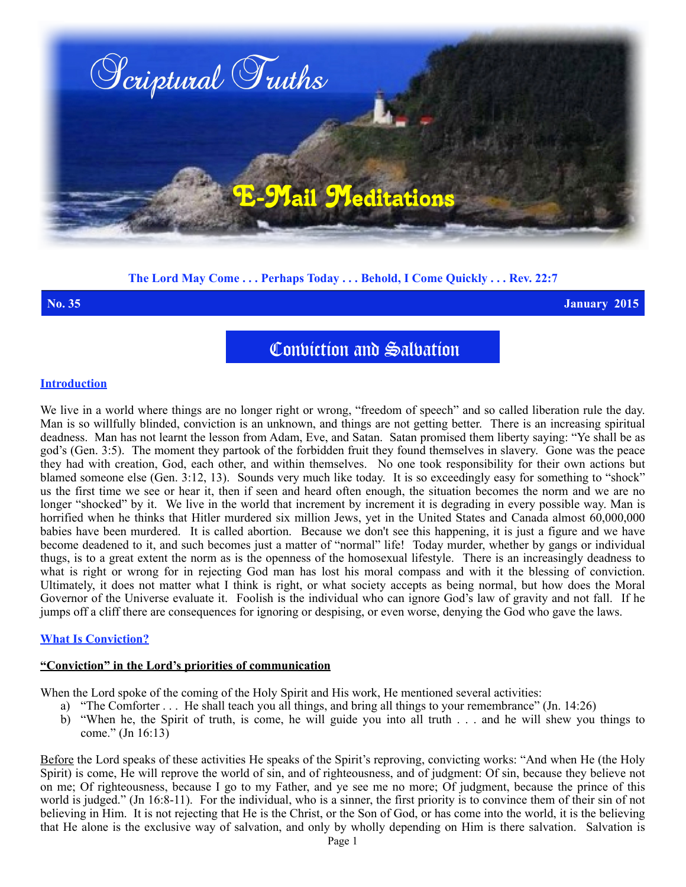

# **The Lord May Come . . . Perhaps Today . . . Behold, I Come Quickly . . . Rev. 22:7**

**No. 35 January 2015**

Conviction and Salvation

### **Introduction**

We live in a world where things are no longer right or wrong, "freedom of speech" and so called liberation rule the day. Man is so willfully blinded, conviction is an unknown, and things are not getting better. There is an increasing spiritual deadness. Man has not learnt the lesson from Adam, Eve, and Satan. Satan promised them liberty saying: "Ye shall be as god's (Gen. 3:5). The moment they partook of the forbidden fruit they found themselves in slavery. Gone was the peace they had with creation, God, each other, and within themselves. No one took responsibility for their own actions but blamed someone else (Gen. 3:12, 13). Sounds very much like today. It is so exceedingly easy for something to "shock" us the first time we see or hear it, then if seen and heard often enough, the situation becomes the norm and we are no longer "shocked" by it. We live in the world that increment by increment it is degrading in every possible way. Man is horrified when he thinks that Hitler murdered six million Jews, yet in the United States and Canada almost 60,000,000 babies have been murdered. It is called abortion. Because we don't see this happening, it is just a figure and we have become deadened to it, and such becomes just a matter of "normal" life! Today murder, whether by gangs or individual thugs, is to a great extent the norm as is the openness of the homosexual lifestyle. There is an increasingly deadness to what is right or wrong for in rejecting God man has lost his moral compass and with it the blessing of conviction. Ultimately, it does not matter what I think is right, or what society accepts as being normal, but how does the Moral Governor of the Universe evaluate it. Foolish is the individual who can ignore God's law of gravity and not fall. If he jumps off a cliff there are consequences for ignoring or despising, or even worse, denying the God who gave the laws.

## **What Is Conviction?**

### **"Conviction" in the Lord's priorities of communication**

When the Lord spoke of the coming of the Holy Spirit and His work, He mentioned several activities:

- a) "The Comforter . . . He shall teach you all things, and bring all things to your remembrance" (Jn. 14:26)
- b) "When he, the Spirit of truth, is come, he will guide you into all truth . . . and he will shew you things to come." (Jn 16:13)

Before the Lord speaks of these activities He speaks of the Spirit's reproving, convicting works: "And when He (the Holy Spirit) is come, He will reprove the world of sin, and of righteousness, and of judgment: Of sin, because they believe not on me; Of righteousness, because I go to my Father, and ye see me no more; Of judgment, because the prince of this world is judged." (Jn 16:8-11). For the individual, who is a sinner, the first priority is to convince them of their sin of not believing in Him. It is not rejecting that He is the Christ, or the Son of God, or has come into the world, it is the believing that He alone is the exclusive way of salvation, and only by wholly depending on Him is there salvation. Salvation is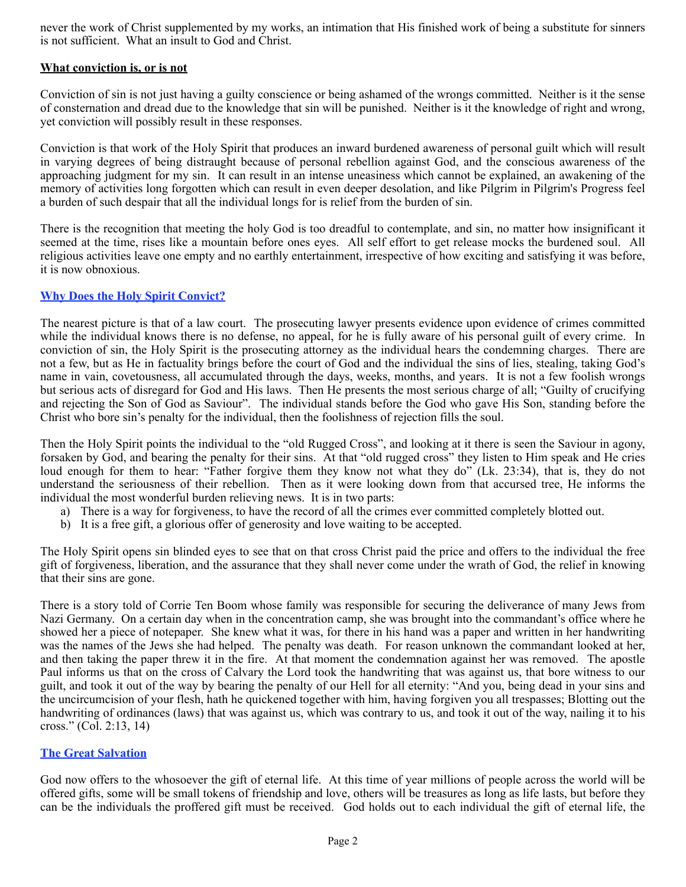never the work of Christ supplemented by my works, an intimation that His finished work of being a substitute for sinners is not sufficient. What an insult to God and Christ.

# **What conviction is, or is not**

Conviction of sin is not just having a guilty conscience or being ashamed of the wrongs committed. Neither is it the sense of consternation and dread due to the knowledge that sin will be punished. Neither is it the knowledge of right and wrong, yet conviction will possibly result in these responses.

Conviction is that work of the Holy Spirit that produces an inward burdened awareness of personal guilt which will result in varying degrees of being distraught because of personal rebellion against God, and the conscious awareness of the approaching judgment for my sin. It can result in an intense uneasiness which cannot be explained, an awakening of the memory of activities long forgotten which can result in even deeper desolation, and like Pilgrim in Pilgrim's Progress feel a burden of such despair that all the individual longs for is relief from the burden of sin.

There is the recognition that meeting the holy God is too dreadful to contemplate, and sin, no matter how insignificant it seemed at the time, rises like a mountain before ones eyes. All self effort to get release mocks the burdened soul. All religious activities leave one empty and no earthly entertainment, irrespective of how exciting and satisfying it was before, it is now obnoxious.

# **Why Does the Holy Spirit Convict?**

The nearest picture is that of a law court. The prosecuting lawyer presents evidence upon evidence of crimes committed while the individual knows there is no defense, no appeal, for he is fully aware of his personal guilt of every crime. In conviction of sin, the Holy Spirit is the prosecuting attorney as the individual hears the condemning charges. There are not a few, but as He in factuality brings before the court of God and the individual the sins of lies, stealing, taking God's name in vain, covetousness, all accumulated through the days, weeks, months, and years. It is not a few foolish wrongs but serious acts of disregard for God and His laws. Then He presents the most serious charge of all; "Guilty of crucifying and rejecting the Son of God as Saviour". The individual stands before the God who gave His Son, standing before the Christ who bore sin's penalty for the individual, then the foolishness of rejection fills the soul.

Then the Holy Spirit points the individual to the "old Rugged Cross", and looking at it there is seen the Saviour in agony, forsaken by God, and bearing the penalty for their sins. At that "old rugged cross" they listen to Him speak and He cries loud enough for them to hear: "Father forgive them they know not what they do" (Lk. 23:34), that is, they do not understand the seriousness of their rebellion. Then as it were looking down from that accursed tree, He informs the individual the most wonderful burden relieving news. It is in two parts:

- a) There is a way for forgiveness, to have the record of all the crimes ever committed completely blotted out.
- b) It is a free gift, a glorious offer of generosity and love waiting to be accepted.

The Holy Spirit opens sin blinded eyes to see that on that cross Christ paid the price and offers to the individual the free gift of forgiveness, liberation, and the assurance that they shall never come under the wrath of God, the relief in knowing that their sins are gone.

There is a story told of Corrie Ten Boom whose family was responsible for securing the deliverance of many Jews from Nazi Germany. On a certain day when in the concentration camp, she was brought into the commandant's office where he showed her a piece of notepaper. She knew what it was, for there in his hand was a paper and written in her handwriting was the names of the Jews she had helped. The penalty was death. For reason unknown the commandant looked at her, and then taking the paper threw it in the fire. At that moment the condemnation against her was removed. The apostle Paul informs us that on the cross of Calvary the Lord took the handwriting that was against us, that bore witness to our guilt, and took it out of the way by bearing the penalty of our Hell for all eternity: "And you, being dead in your sins and the uncircumcision of your flesh, hath he quickened together with him, having forgiven you all trespasses; Blotting out the handwriting of ordinances (laws) that was against us, which was contrary to us, and took it out of the way, nailing it to his cross." (Col. 2:13, 14)

## **The Great Salvation**

God now offers to the whosoever the gift of eternal life. At this time of year millions of people across the world will be offered gifts, some will be small tokens of friendship and love, others will be treasures as long as life lasts, but before they can be the individuals the proffered gift must be received. God holds out to each individual the gift of eternal life, the